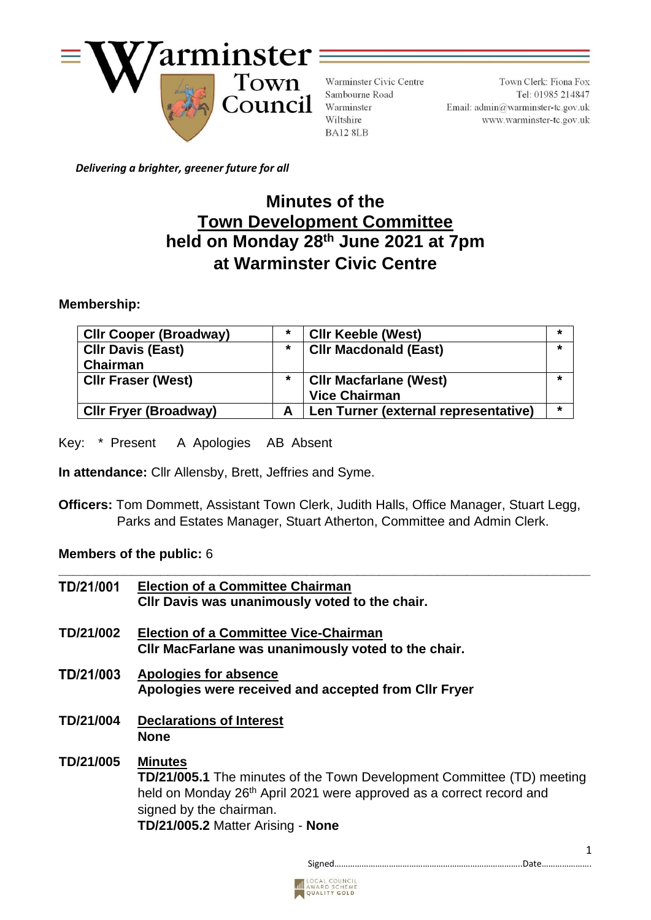

Warminster Civic Centre Sambourne Road Warminster Wiltshire BA12 8LB

Town Clerk: Fiona Fox Tel: 01985 214847 Email:  $\text{admin}\textcircled{a}$ warminster-tc.gov.uk www.warminster-tc.gov.uk

 *Delivering a brighter, greener future for all*

# **Minutes of the Town Development Committee held on Monday 28 th June 2021 at 7pm at Warminster Civic Centre**

# **Membership:**

| <b>CIIr Cooper (Broadway)</b> | *       | <b>CIIr Keeble (West)</b>            |   |
|-------------------------------|---------|--------------------------------------|---|
| <b>CIIr Davis (East)</b>      | $\star$ | <b>CIIr Macdonald (East)</b>         |   |
| Chairman                      |         |                                      |   |
| <b>CIIr Fraser (West)</b>     | $\star$ | <b>CIIr Macfarlane (West)</b>        |   |
|                               |         | <b>Vice Chairman</b>                 |   |
| <b>CIIr Fryer (Broadway)</b>  | А       | Len Turner (external representative) | * |

Key: \* Present A Apologies AB Absent

 **In attendance:** Cllr Allensby, Brett, Jeffries and Syme.

**Officers:** Tom Dommett, Assistant Town Clerk, Judith Halls, Office Manager, Stuart Legg, Parks and Estates Manager, Stuart Atherton, Committee and Admin Clerk.

# **Members of the public:** 6

| TD/21/001 | <b>Election of a Committee Chairman</b><br>CIIr Davis was unanimously voted to the chair.                                                                                                                                                           |
|-----------|-----------------------------------------------------------------------------------------------------------------------------------------------------------------------------------------------------------------------------------------------------|
| TD/21/002 | <b>Election of a Committee Vice-Chairman</b><br>CIIr MacFarlane was unanimously voted to the chair.                                                                                                                                                 |
| TD/21/003 | Apologies for absence<br>Apologies were received and accepted from CIIr Fryer                                                                                                                                                                       |
| TD/21/004 | <b>Declarations of Interest</b><br><b>None</b>                                                                                                                                                                                                      |
| TD/21/005 | <b>Minutes</b><br><b>TD/21/005.1</b> The minutes of the Town Development Committee (TD) meeting<br>held on Monday 26 <sup>th</sup> April 2021 were approved as a correct record and<br>signed by the chairman.<br>TD/21/005.2 Matter Arising - None |

Signed………………………………………………………………………..Date………………….



1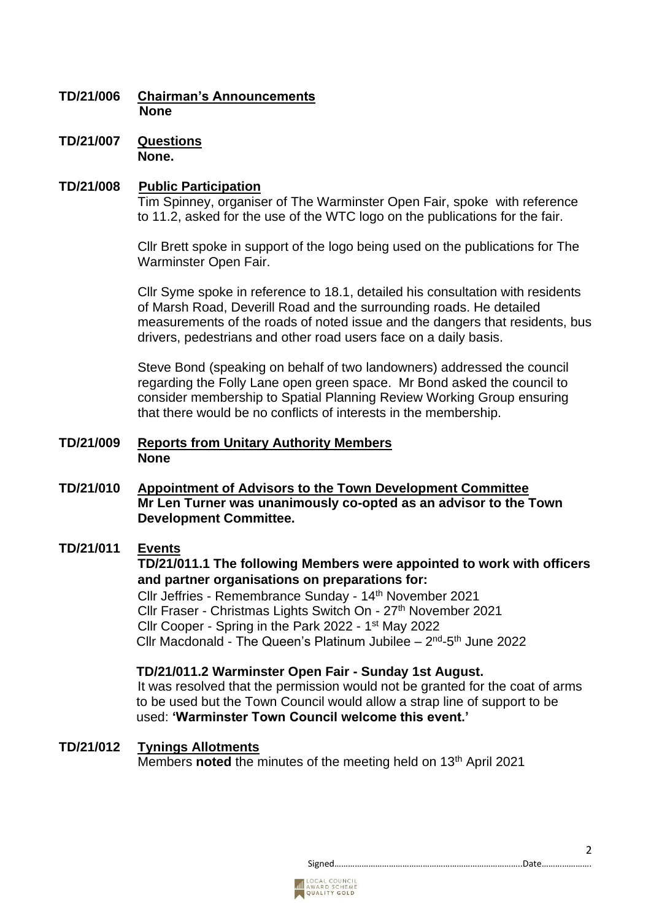# **TD/21/006 Chairman's Announcements None**

**TD/21/007 Questions None.**

## **TD/21/008 Public Participation**

Tim Spinney, organiser of The Warminster Open Fair, spoke with reference to 11.2, asked for the use of the WTC logo on the publications for the fair.

Cllr Brett spoke in support of the logo being used on the publications for The Warminster Open Fair.

Cllr Syme spoke in reference to 18.1, detailed his consultation with residents of Marsh Road, Deverill Road and the surrounding roads. He detailed measurements of the roads of noted issue and the dangers that residents, bus drivers, pedestrians and other road users face on a daily basis.

Steve Bond (speaking on behalf of two landowners) addressed the council regarding the Folly Lane open green space. Mr Bond asked the council to consider membership to Spatial Planning Review Working Group ensuring that there would be no conflicts of interests in the membership.

#### **TD/21/009 Reports from Unitary Authority Members None**

**TD/21/010 Appointment of Advisors to the Town Development Committee Mr Len Turner was unanimously co-opted as an advisor to the Town Development Committee.**

# **TD/21/011 Events**

**TD/21/011.1 The following Members were appointed to work with officers and partner organisations on preparations for:**

Cllr Jeffries - Remembrance Sunday - 14 th November 2021 Cllr Fraser - Christmas Lights Switch On - 27<sup>th</sup> November 2021 Cllr Cooper - Spring in the Park 2022 - 1<sup>st</sup> May 2022 Cllr Macdonald - The Queen's Platinum Jubilee  $-2^{nd}$ -5<sup>th</sup> June 2022

#### **TD/21/011.2 Warminster Open Fair - Sunday 1st August.**

It was resolved that the permission would not be granted for the coat of arms to be used but the Town Council would allow a strap line of support to be used: **'Warminster Town Council welcome this event.'**

#### **TD/21/012 Tynings Allotments**

Members **noted** the minutes of the meeting held on 13th April 2021



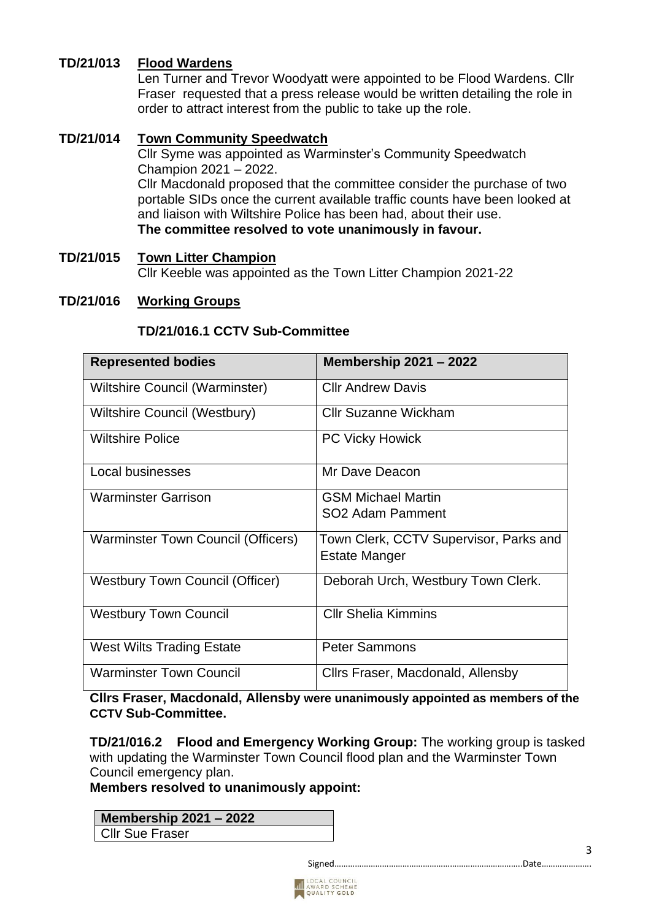# **TD/21/013 Flood Wardens**

Len Turner and Trevor Woodyatt were appointed to be Flood Wardens. Cllr Fraser requested that a press release would be written detailing the role in order to attract interest from the public to take up the role.

# **TD/21/014 Town Community Speedwatch**

Cllr Syme was appointed as Warminster's Community Speedwatch Champion 2021 – 2022. Cllr Macdonald proposed that the committee consider the purchase of two portable SIDs once the current available traffic counts have been looked at and liaison with Wiltshire Police has been had, about their use. **The committee resolved to vote unanimously in favour.**

# **TD/21/015 Town Litter Champion** Cllr Keeble was appointed as the Town Litter Champion 2021-22

## **TD/21/016 Working Groups**

## **TD/21/016.1 CCTV Sub-Committee**

| <b>Represented bodies</b>                 | <b>Membership 2021 - 2022</b>          |
|-------------------------------------------|----------------------------------------|
| Wiltshire Council (Warminster)            | <b>Cllr Andrew Davis</b>               |
| Wiltshire Council (Westbury)              | <b>Cllr Suzanne Wickham</b>            |
| <b>Wiltshire Police</b>                   | <b>PC Vicky Howick</b>                 |
| Local businesses                          | Mr Dave Deacon                         |
| <b>Warminster Garrison</b>                | <b>GSM Michael Martin</b>              |
|                                           | SO <sub>2</sub> Adam Pamment           |
| <b>Warminster Town Council (Officers)</b> | Town Clerk, CCTV Supervisor, Parks and |
|                                           | <b>Estate Manger</b>                   |
| <b>Westbury Town Council (Officer)</b>    | Deborah Urch, Westbury Town Clerk.     |
|                                           | <b>CIIr Shelia Kimmins</b>             |
| <b>Westbury Town Council</b>              |                                        |
| <b>West Wilts Trading Estate</b>          | <b>Peter Sammons</b>                   |
| <b>Warminster Town Council</b>            | Cllrs Fraser, Macdonald, Allensby      |

**Cllrs Fraser, Macdonald, Allensby were unanimously appointed as members of the CCTV Sub-Committee.**

**TD/21/016.2 Flood and Emergency Working Group:** The working group is tasked with updating the Warminster Town Council flood plan and the Warminster Town Council emergency plan.

# **Members resolved to unanimously appoint:**

#### **Membership 2021 – 2022**

Cllr Sue Fraser

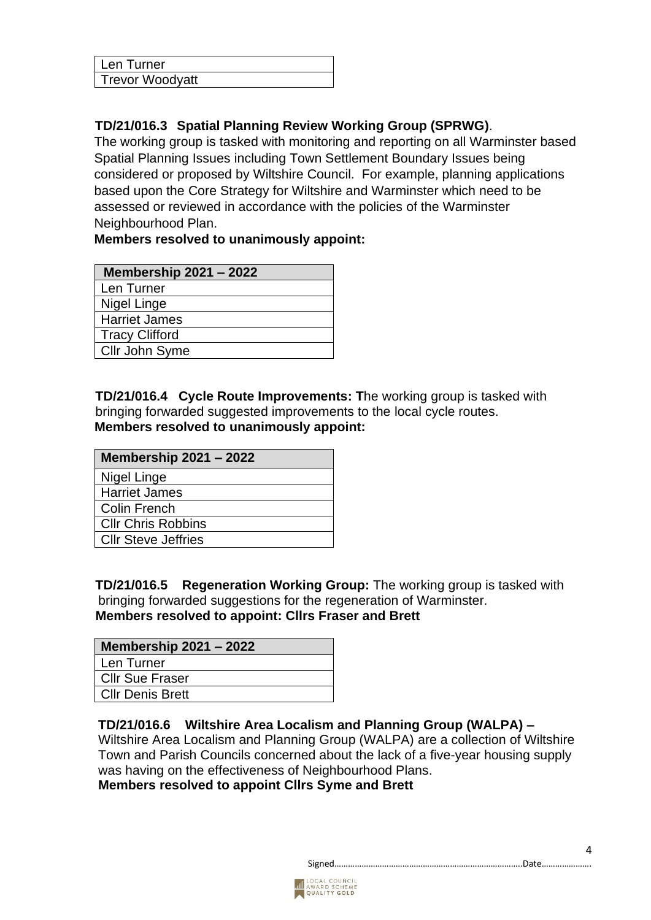| Len Turner             |  |
|------------------------|--|
| <b>Trevor Woodyatt</b> |  |

# **TD/21/016.3 Spatial Planning Review Working Group (SPRWG)**.

 The working group is tasked with monitoring and reporting on all Warminster based Spatial Planning Issues including Town Settlement Boundary Issues being considered or proposed by Wiltshire Council. For example, planning applications based upon the Core Strategy for Wiltshire and Warminster which need to be assessed or reviewed in accordance with the policies of the Warminster Neighbourhood Plan.

# **Members resolved to unanimously appoint:**

| <b>Membership 2021 - 2022</b> |
|-------------------------------|
| Len Turner                    |
| Nigel Linge                   |
| <b>Harriet James</b>          |
| <b>Tracy Clifford</b>         |
| Cllr John Syme                |

 **TD/21/016.4 Cycle Route Improvements: T**he working group is tasked with bringing forwarded suggested improvements to the local cycle routes. **Members resolved to unanimously appoint:**

| <b>Membership 2021 - 2022</b> |  |
|-------------------------------|--|
| Nigel Linge                   |  |
| <b>Harriet James</b>          |  |
| Colin French                  |  |
| <b>CIIr Chris Robbins</b>     |  |
| <b>CIIr Steve Jeffries</b>    |  |

 **TD/21/016.5 Regeneration Working Group:** The working group is tasked with bringing forwarded suggestions for the regeneration of Warminster. **Members resolved to appoint: Cllrs Fraser and Brett**

| <b>Membership 2021 - 2022</b> |  |
|-------------------------------|--|
| Len Turner                    |  |
| <b>Cllr Sue Fraser</b>        |  |
| <b>Cllr Denis Brett</b>       |  |

# **TD/21/016.6 Wiltshire Area Localism and Planning Group (WALPA) –**

Wiltshire Area Localism and Planning Group (WALPA) are a collection of Wiltshire Town and Parish Councils concerned about the lack of a five-year housing supply was having on the effectiveness of Neighbourhood Plans.

**Members resolved to appoint Cllrs Syme and Brett**

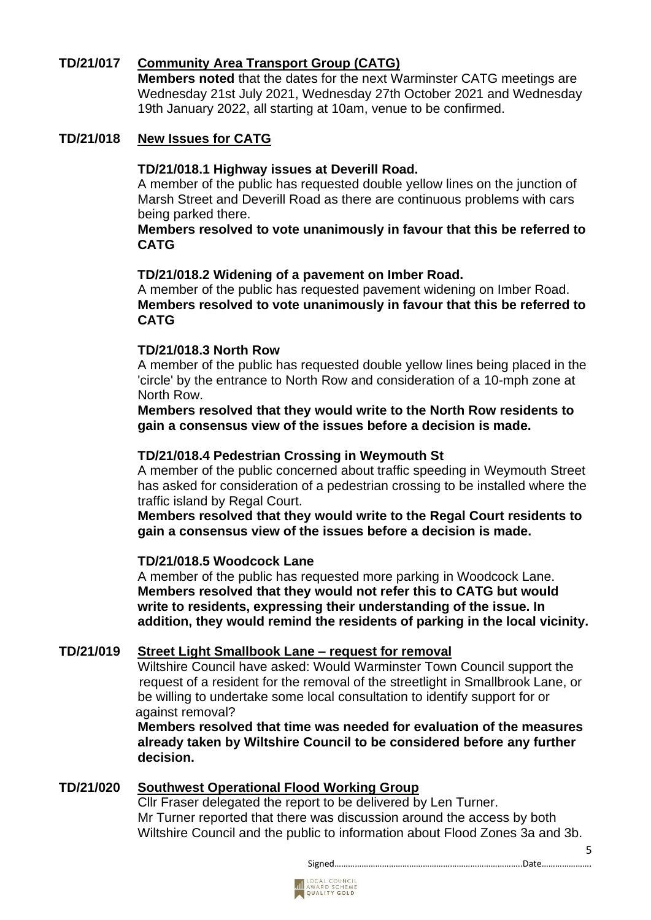# **TD/21/017 Community Area Transport Group (CATG)**

**Members noted** that the dates for the next Warminster CATG meetings are Wednesday 21st July 2021, Wednesday 27th October 2021 and Wednesday 19th January 2022, all starting at 10am, venue to be confirmed.

# **TD/21/018 New Issues for CATG**

#### **TD/21/018.1 Highway issues at Deverill Road.**

A member of the public has requested double yellow lines on the junction of Marsh Street and Deverill Road as there are continuous problems with cars being parked there.

#### **Members resolved to vote unanimously in favour that this be referred to CATG**

## **TD/21/018.2 Widening of a pavement on Imber Road.**

A member of the public has requested pavement widening on Imber Road. **Members resolved to vote unanimously in favour that this be referred to CATG** 

## **TD/21/018.3 North Row**

A member of the public has requested double yellow lines being placed in the 'circle' by the entrance to North Row and consideration of a 10-mph zone at North Row.

 **Members resolved that they would write to the North Row residents to gain a consensus view of the issues before a decision is made.**

#### **TD/21/018.4 Pedestrian Crossing in Weymouth St**

A member of the public concerned about traffic speeding in Weymouth Street has asked for consideration of a pedestrian crossing to be installed where the traffic island by Regal Court.

 **Members resolved that they would write to the Regal Court residents to gain a consensus view of the issues before a decision is made.**

## **TD/21/018.5 Woodcock Lane**

 A member of the public has requested more parking in Woodcock Lane. **Members resolved that they would not refer this to CATG but would write to residents, expressing their understanding of the issue. In addition, they would remind the residents of parking in the local vicinity.**

## **TD/21/019 Street Light Smallbook Lane – request for removal**

Wiltshire Council have asked: Would Warminster Town Council support the request of a resident for the removal of the streetlight in Smallbrook Lane, or be willing to undertake some local consultation to identify support for or against removal?

**Members resolved that time was needed for evaluation of the measures already taken by Wiltshire Council to be considered before any further decision.**

## **TD/21/020 Southwest Operational Flood Working Group**

Cllr Fraser delegated the report to be delivered by Len Turner. Mr Turner reported that there was discussion around the access by both Wiltshire Council and the public to information about Flood Zones 3a and 3b.